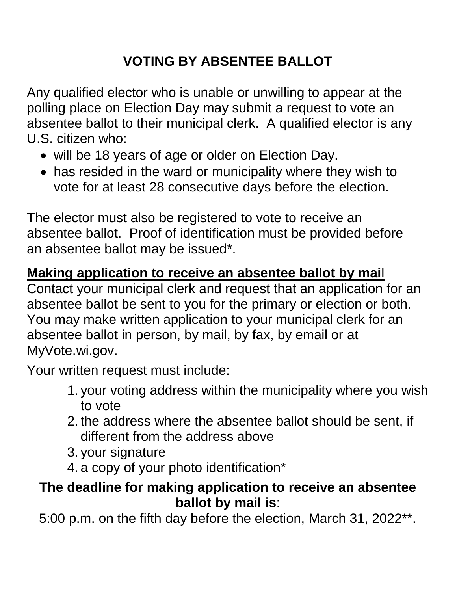# **VOTING BY ABSENTEE BALLOT**

Any qualified elector who is unable or unwilling to appear at the polling place on Election Day may submit a request to vote an absentee ballot to their municipal clerk. A qualified elector is any U.S. citizen who:

- will be 18 years of age or older on Election Day.
- has resided in the ward or municipality where they wish to vote for at least 28 consecutive days before the election.

The elector must also be registered to vote to receive an absentee ballot. Proof of identification must be provided before an absentee ballot may be issued\*.

### **Making application to receive an absentee ballot by mai**l

Contact your municipal clerk and request that an application for an absentee ballot be sent to you for the primary or election or both. You may make written application to your municipal clerk for an absentee ballot in person, by mail, by fax, by email or at MyVote.wi.gov.

Your written request must include:

- 1. your voting address within the municipality where you wish to vote
- 2. the address where the absentee ballot should be sent, if different from the address above
- 3. your signature
- 4. a copy of your photo identification\*

### **The deadline for making application to receive an absentee ballot by mail is**:

5:00 p.m. on the fifth day before the election, March 31, 2022\*\*.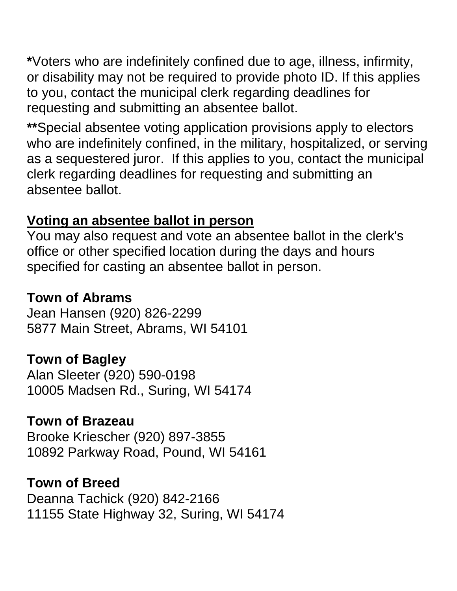**\***Voters who are indefinitely confined due to age, illness, infirmity, or disability may not be required to provide photo ID. If this applies to you, contact the municipal clerk regarding deadlines for requesting and submitting an absentee ballot.

**\*\***Special absentee voting application provisions apply to electors who are indefinitely confined, in the military, hospitalized, or serving as a sequestered juror. If this applies to you, contact the municipal clerk regarding deadlines for requesting and submitting an absentee ballot.

### **Voting an absentee ballot in person**

You may also request and vote an absentee ballot in the clerk's office or other specified location during the days and hours specified for casting an absentee ballot in person.

# **Town of Abrams**

Jean Hansen (920) 826-2299 5877 Main Street, Abrams, WI 54101

# **Town of Bagley**

Alan Sleeter (920) 590-0198 10005 Madsen Rd., Suring, WI 54174

# **Town of Brazeau**

Brooke Kriescher (920) 897-3855 10892 Parkway Road, Pound, WI 54161

### **Town of Breed**

Deanna Tachick (920) 842-2166 11155 State Highway 32, Suring, WI 54174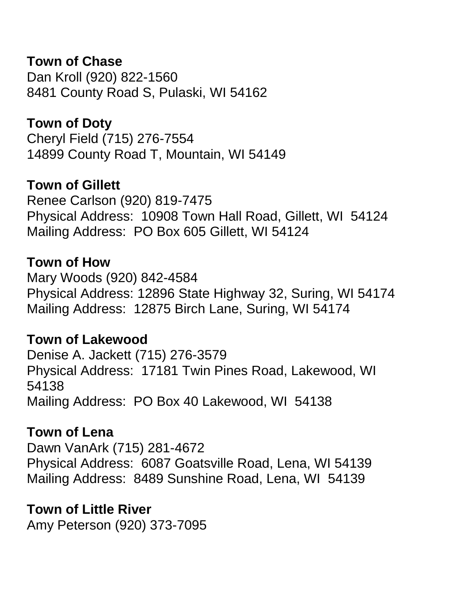**Town of Chase** Dan Kroll (920) 822-1560 8481 County Road S, Pulaski, WI 54162

**Town of Doty** Cheryl Field (715) 276-7554 14899 County Road T, Mountain, WI 54149

**Town of Gillett**

Renee Carlson (920) 819-7475 Physical Address: 10908 Town Hall Road, Gillett, WI 54124 Mailing Address: PO Box 605 Gillett, WI 54124

#### **Town of How**

Mary Woods (920) 842-4584 Physical Address: 12896 State Highway 32, Suring, WI 54174 Mailing Address: 12875 Birch Lane, Suring, WI 54174

#### **Town of Lakewood**

Denise A. Jackett (715) 276-3579 Physical Address: 17181 Twin Pines Road, Lakewood, WI 54138 Mailing Address: PO Box 40 Lakewood, WI 54138

#### **Town of Lena**

Dawn VanArk (715) 281-4672 Physical Address: 6087 Goatsville Road, Lena, WI 54139 Mailing Address: 8489 Sunshine Road, Lena, WI 54139

#### **Town of Little River**

Amy Peterson (920) 373-7095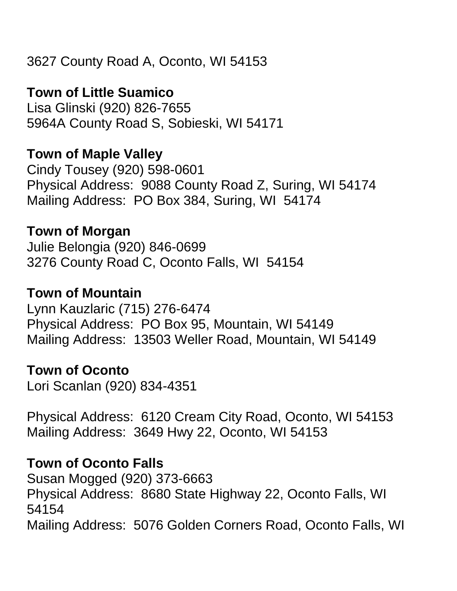# **Town of Little Suamico**

Lisa Glinski (920) 826-7655 5964A County Road S, Sobieski, WI 54171

# **Town of Maple Valley**

Cindy Tousey (920) 598-0601 Physical Address: 9088 County Road Z, Suring, WI 54174 Mailing Address: PO Box 384, Suring, WI 54174

## **Town of Morgan**

Julie Belongia (920) 846-0699 3276 County Road C, Oconto Falls, WI 54154

### **Town of Mountain**

Lynn Kauzlaric (715) 276-6474 Physical Address: PO Box 95, Mountain, WI 54149 Mailing Address: 13503 Weller Road, Mountain, WI 54149

### **Town of Oconto**

Lori Scanlan (920) 834-4351

Physical Address: 6120 Cream City Road, Oconto, WI 54153 Mailing Address: 3649 Hwy 22, Oconto, WI 54153

# **Town of Oconto Falls**

Susan Mogged (920) 373-6663 Physical Address: 8680 State Highway 22, Oconto Falls, WI 54154 Mailing Address: 5076 Golden Corners Road, Oconto Falls, WI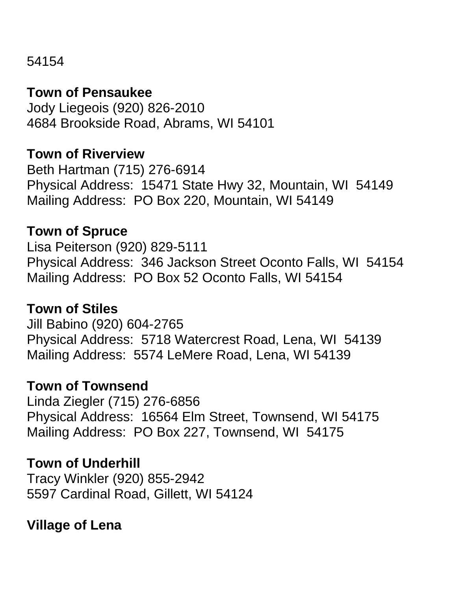54154

#### **Town of Pensaukee**

Jody Liegeois (920) 826-2010 4684 Brookside Road, Abrams, WI 54101

#### **Town of Riverview**

Beth Hartman (715) 276-6914 Physical Address: 15471 State Hwy 32, Mountain, WI 54149 Mailing Address: PO Box 220, Mountain, WI 54149

#### **Town of Spruce**

Lisa Peiterson (920) 829-5111 Physical Address: 346 Jackson Street Oconto Falls, WI 54154 Mailing Address: PO Box 52 Oconto Falls, WI 54154

#### **Town of Stiles**

Jill Babino (920) 604-2765 Physical Address: 5718 Watercrest Road, Lena, WI 54139 Mailing Address: 5574 LeMere Road, Lena, WI 54139

#### **Town of Townsend**

Linda Ziegler (715) 276-6856 Physical Address: 16564 Elm Street, Townsend, WI 54175 Mailing Address: PO Box 227, Townsend, WI 54175

#### **Town of Underhill**

Tracy Winkler (920) 855-2942 5597 Cardinal Road, Gillett, WI 54124

### **Village of Lena**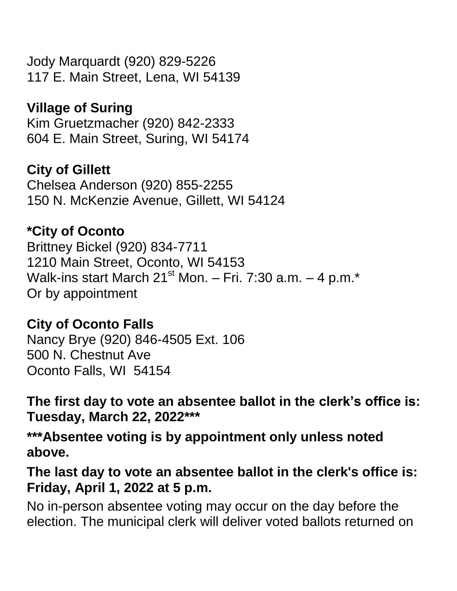Jody Marquardt (920) 829-5226 117 E. Main Street, Lena, WI 54139

# **Village of Suring**

Kim Gruetzmacher (920) 842-2333 604 E. Main Street, Suring, WI 54174

## **City of Gillett**

Chelsea Anderson (920) 855-2255 150 N. McKenzie Avenue, Gillett, WI 54124

## **\*City of Oconto**

Brittney Bickel (920) 834-7711 1210 Main Street, Oconto, WI 54153 Walk-ins start March  $21^{st}$  Mon. – Fri. 7:30 a.m. – 4 p.m. $*$ Or by appointment

### **City of Oconto Falls**

Nancy Brye (920) 846-4505 Ext. 106 500 N. Chestnut Ave Oconto Falls, WI 54154

**The first day to vote an absentee ballot in the clerk's office is: Tuesday, March 22, 2022\*\*\***

**\*\*\*Absentee voting is by appointment only unless noted above.**

**The last day to vote an absentee ballot in the clerk's office is: Friday, April 1, 2022 at 5 p.m.** 

No in-person absentee voting may occur on the day before the election. The municipal clerk will deliver voted ballots returned on